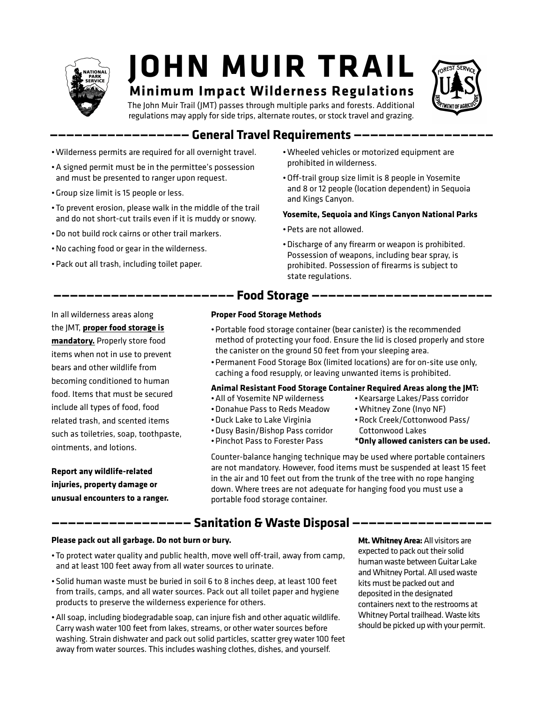

# **JOHN MUIR TRAIL**

# **Minimum Impact Wilderness Regulations**



The John Muir Trail (JMT) passes through multiple parks and forests. Additional regulations may apply for side trips, alternate routes, or stock travel and grazing.

# **————————————————— General Travel Requirements —————————————————**

- •Wilderness permits are required for all overnight travel.
- •A signed permit must be in the permittee's possession and must be presented to ranger upon request.
- •Group size limit is 15 people or less.
- •To prevent erosion, please walk in the middle of the trail and do not short-cut trails even if it is muddy or snowy.
- •Do not build rock cairns or other trail markers.
- •No caching food or gear in the wilderness.
- •Pack out all trash, including toilet paper.

 In all wilderness areas along the JMT, **proper food storage is mandatory.** Properly store food items when not in use to prevent bears and other wildlife from becoming conditioned to human food. Items that must be secured include all types of food, food related trash, and scented items such as toiletries, soap, toothpaste, ointments, and lotions.

**Report any wildlife-related injuries, property damage or unusual encounters to a ranger.** 

- •Wheeled vehicles or motorized equipment are prohibited in wilderness.
- •Off-trail group size limit is 8 people in Yosemite and 8 or 12 people (location dependent) in Sequoia and Kings Canyon.

#### **Yosemite, Sequoia and Kings Canyon National Parks**

- •Pets are not allowed.
- •Discharge of any firearm or weapon is prohibited. Possession of weapons, including bear spray, is prohibited. Possession of firearms is subject to state regulations.

# **—————————————————————— Food Storage ——————————————————————**

•Donahue Pass to Reds Meadow •Duck Lake to Lake Virginia •Dusy Basin/Bishop Pass corridor •Pinchot Pass to Forester Pass

#### **Proper Food Storage Methods**

- •Portable food storage container (bear canister) is the recommended method of protecting your food. Ensure the lid is closed properly and store the canister on the ground 50 feet from your sleeping area.
- •Permanent Food Storage Box (limited locations) are for on-site use only, caching a food resupply, or leaving unwanted items is prohibited.

#### **Animal Resistant Food Storage Container Required Areas along the JMT:** •All of Yosemite NP wilderness

- •Kearsarge Lakes/Pass corridor
	- •Whitney Zone (Inyo NF)
	- •Rock Creek/Cottonwood Pass/ Cottonwood Lakes
	- **\*Only allowed canisters can be used.**

Counter-balance hanging technique may be used where portable containers are not mandatory. However, food items must be suspended at least 15 feet in the air and 10 feet out from the trunk of the tree with no rope hanging down. Where trees are not adequate for hanging food you must use a portable food storage container.

### **————————————————— Sanitation & Waste Disposal —————————————————**

#### **Please pack out all garbage. Do not burn or bury.**

- •To protect water quality and public health, move well off-trail, away from camp, and at least 100 feet away from all water sources to urinate.
- •Solid human waste must be buried in soil 6 to 8 inches deep, at least 100 feet from trails, camps, and all water sources. Pack out all toilet paper and hygiene products to preserve the wilderness experience for others.
- •All soap, including biodegradable soap, can injure fish and other aquatic wildlife. Carry wash water 100 feet from lakes, streams, or other water sources before washing. Strain dishwater and pack out solid particles, scatter grey water 100 feet away from water sources. This includes washing clothes, dishes, and yourself.

**Mt. Whitney Area:** All visitors are expected to pack out their solid human waste between Guitar Lake and Whitney Portal. All used waste kits must be packed out and deposited in the designated containers next to the restrooms at Whitney Portal trailhead. Waste kits should be picked up with your permit.